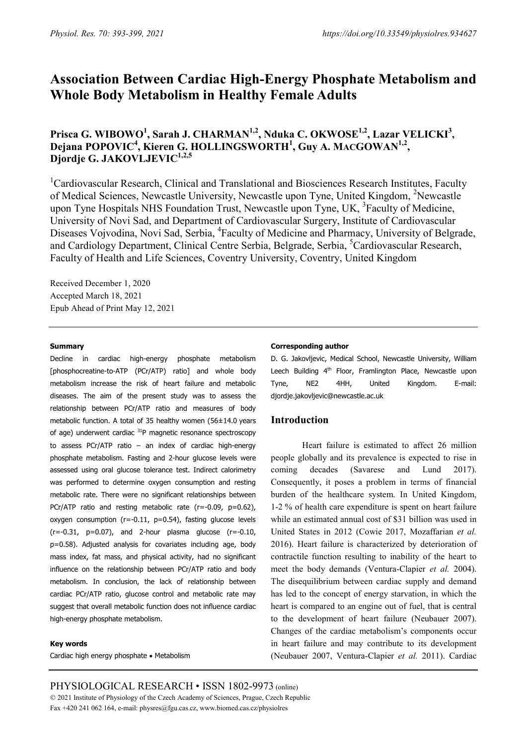# **Association Between Cardiac High-Energy Phosphate Metabolism and Whole Body Metabolism in Healthy Female Adults**

Prisca G. WIBOWO<sup>1</sup>, Sarah J. CHARMAN<sup>1,2</sup>, Nduka C. OKWOSE<sup>1,2</sup>, Lazar VELICKI<sup>3</sup>, **Dejana POPOVIC4 , Kieren G. HOLLINGSWORTH<sup>1</sup> , Guy A. MACGOWAN1,2,** Djordje G. JAKOVLJEVIC<sup>1,2,5</sup>

<sup>1</sup>Cardiovascular Research, Clinical and Translational and Biosciences Research Institutes, Faculty of Medical Sciences, Newcastle University, Newcastle upon Tyne, United Kingdom, <sup>2</sup>Newcastle upon Tyne Hospitals NHS Foundation Trust, Newcastle upon Tyne, UK, <sup>3</sup>Faculty of Medicine, University of Novi Sad, and Department of Cardiovascular Surgery, Institute of Cardiovascular Diseases Vojvodina, Novi Sad, Serbia, <sup>4</sup>Faculty of Medicine and Pharmacy, University of Belgrade, and Cardiology Department, Clinical Centre Serbia, Belgrade, Serbia, <sup>5</sup>Cardiovascular Research, Faculty of Health and Life Sciences, Coventry University, Coventry, United Kingdom

Received December 1, 2020 Accepted March 18, 2021 Epub Ahead of Print May 12, 2021

#### **Summary**

Decline in cardiac high-energy phosphate metabolism [phosphocreatine-to-ATP (PCr/ATP) ratio] and whole body metabolism increase the risk of heart failure and metabolic diseases. The aim of the present study was to assess the relationship between PCr/ATP ratio and measures of body metabolic function. A total of 35 healthy women (56±14.0 years of age) underwent cardiac <sup>31</sup>P magnetic resonance spectroscopy to assess PCr/ATP ratio – an index of cardiac high-energy phosphate metabolism. Fasting and 2-hour glucose levels were assessed using oral glucose tolerance test. Indirect calorimetry was performed to determine oxygen consumption and resting metabolic rate. There were no significant relationships between PCr/ATP ratio and resting metabolic rate (r=-0.09, p=0.62), oxygen consumption ( $r=-0.11$ ,  $p=0.54$ ), fasting glucose levels  $(r=-0.31, p=0.07)$ , and 2-hour plasma glucose  $(r=-0.10, p=0.07)$ p=0.58). Adjusted analysis for covariates including age, body mass index, fat mass, and physical activity, had no significant influence on the relationship between PCr/ATP ratio and body metabolism. In conclusion, the lack of relationship between cardiac PCr/ATP ratio, glucose control and metabolic rate may suggest that overall metabolic function does not influence cardiac high-energy phosphate metabolism.

#### **Key words**

Cardiac high energy phosphate • Metabolism

#### **Corresponding author**

D. G. Jakovljevic, Medical School, Newcastle University, William Leech Building 4<sup>th</sup> Floor, Framlington Place, Newcastle upon Tyne, NE2 4HH, United Kingdom. E-mail: djordje.jakovljevic@newcastle.ac.uk

## **Introduction**

Heart failure is estimated to affect 26 million people globally and its prevalence is expected to rise in coming decades (Savarese and Lund 2017). Consequently, it poses a problem in terms of financial burden of the healthcare system. In United Kingdom, 1-2 % of health care expenditure is spent on heart failure while an estimated annual cost of \$31 billion was used in United States in 2012 (Cowie 2017, Mozaffarian *et al.* 2016). Heart failure is characterized by deterioration of contractile function resulting to inability of the heart to meet the body demands (Ventura-Clapier *et al.* 2004). The disequilibrium between cardiac supply and demand has led to the concept of energy starvation, in which the heart is compared to an engine out of fuel, that is central to the development of heart failure (Neubauer 2007). Changes of the cardiac metabolism's components occur in heart failure and may contribute to its development (Neubauer 2007, Ventura-Clapier *et al.* 2011). Cardiac

PHYSIOLOGICAL RESEARCH • ISSN 1802-9973 (online) 2021 Institute of Physiology of the Czech Academy of Sciences, Prague, Czech Republic Fax +420 241 062 164, e-mail: physres@fgu.cas.cz, www.biomed.cas.cz/physiolres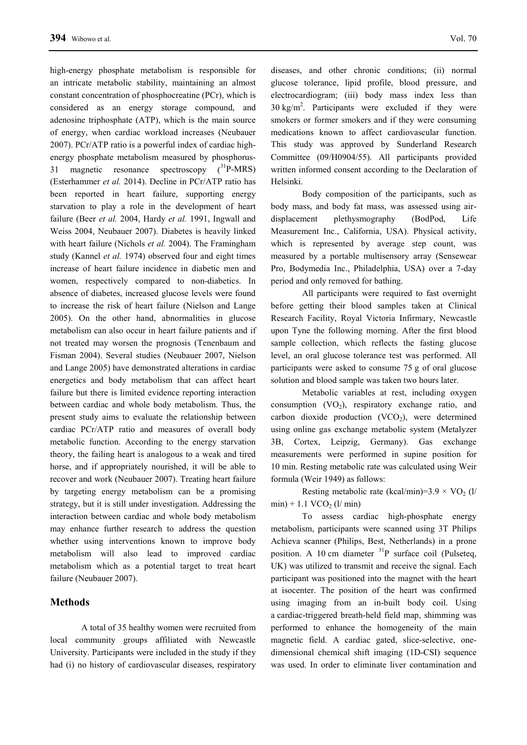high-energy phosphate metabolism is responsible for an intricate metabolic stability, maintaining an almost constant concentration of phosphocreatine (PCr), which is considered as an energy storage compound, and adenosine triphosphate (ATP), which is the main source of energy, when cardiac workload increases (Neubauer 2007). PCr/ATP ratio is a powerful index of cardiac highenergy phosphate metabolism measured by phosphorus-31 magnetic resonance spectroscopy  $(^{31}P-MRS)$ (Esterhammer *et al.* 2014). Decline in PCr/ATP ratio has been reported in heart failure, supporting energy starvation to play a role in the development of heart failure (Beer *et al.* 2004, Hardy *et al.* 1991, Ingwall and Weiss 2004, Neubauer 2007). Diabetes is heavily linked with heart failure (Nichols *et al.* 2004). The Framingham study (Kannel *et al.* 1974) observed four and eight times increase of heart failure incidence in diabetic men and women, respectively compared to non-diabetics. In absence of diabetes, increased glucose levels were found to increase the risk of heart failure (Nielson and Lange 2005). On the other hand, abnormalities in glucose metabolism can also occur in heart failure patients and if not treated may worsen the prognosis (Tenenbaum and Fisman 2004). Several studies (Neubauer 2007, Nielson and Lange 2005) have demonstrated alterations in cardiac energetics and body metabolism that can affect heart failure but there is limited evidence reporting interaction between cardiac and whole body metabolism. Thus, the present study aims to evaluate the relationship between cardiac PCr/ATP ratio and measures of overall body metabolic function. According to the energy starvation theory, the failing heart is analogous to a weak and tired horse, and if appropriately nourished, it will be able to recover and work (Neubauer 2007). Treating heart failure by targeting energy metabolism can be a promising strategy, but it is still under investigation. Addressing the interaction between cardiac and whole body metabolism may enhance further research to address the question whether using interventions known to improve body metabolism will also lead to improved cardiac metabolism which as a potential target to treat heart failure (Neubauer 2007).

# **Methods**

A total of 35 healthy women were recruited from local community groups affiliated with Newcastle University. Participants were included in the study if they had (i) no history of cardiovascular diseases, respiratory diseases, and other chronic conditions; (ii) normal glucose tolerance, lipid profile, blood pressure, and electrocardiogram; (iii) body mass index less than  $30 \text{ kg/m}^2$ . Participants were excluded if they were smokers or former smokers and if they were consuming medications known to affect cardiovascular function. This study was approved by Sunderland Research Committee (09/H0904/55). All participants provided written informed consent according to the Declaration of Helsinki.

Body composition of the participants, such as body mass, and body fat mass, was assessed using airdisplacement plethysmography (BodPod, Life Measurement Inc., California, USA). Physical activity, which is represented by average step count, was measured by a portable multisensory array (Sensewear Pro, Bodymedia Inc., Philadelphia, USA) over a 7-day period and only removed for bathing.

All participants were required to fast overnight before getting their blood samples taken at Clinical Research Facility, Royal Victoria Infirmary, Newcastle upon Tyne the following morning. After the first blood sample collection, which reflects the fasting glucose level, an oral glucose tolerance test was performed. All participants were asked to consume 75 g of oral glucose solution and blood sample was taken two hours later.

Metabolic variables at rest, including oxygen consumption  $(VO<sub>2</sub>)$ , respiratory exchange ratio, and carbon dioxide production  $(VCO<sub>2</sub>)$ , were determined using online gas exchange metabolic system (Metalyzer 3B, Cortex, Leipzig, Germany). Gas exchange measurements were performed in supine position for 10 min. Resting metabolic rate was calculated using Weir formula (Weir 1949) as follows:

Resting metabolic rate (kcal/min)=3.9  $\times$  VO<sub>2</sub> (l/  $min$ ) + 1.1 VCO<sub>2</sub> (l/ $min$ )

To assess cardiac high-phosphate energy metabolism, participants were scanned using 3T Philips Achieva scanner (Philips, Best, Netherlands) in a prone position. A 10 cm diameter  ${}^{31}P$  surface coil (Pulseteq, UK) was utilized to transmit and receive the signal. Each participant was positioned into the magnet with the heart at isocenter. The position of the heart was confirmed using imaging from an in-built body coil. Using a cardiac-triggered breath-held field map, shimming was performed to enhance the homogeneity of the main magnetic field. A cardiac gated, slice-selective, onedimensional chemical shift imaging (1D-CSI) sequence was used. In order to eliminate liver contamination and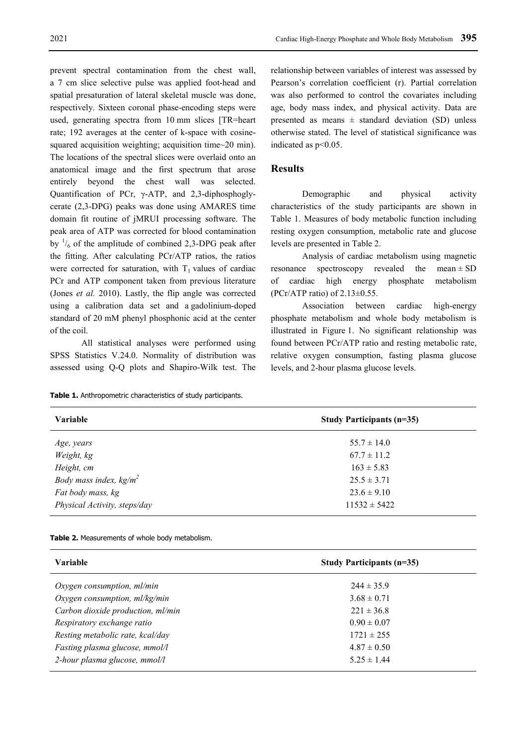prevent spectral contamination from the chest wall, a 7 cm slice selective pulse was applied foot-head and spatial presaturation of lateral skeletal muscle was done, respectively. Sixteen coronal phase-encoding steps were used, generating spectra from 10 mm slices [TR=heart rate; 192 averages at the center of k-space with cosinesquared acquisition weighting; acquisition time~20 min). The locations of the spectral slices were overlaid onto an anatomical image and the first spectrum that arose entirely beyond the chest wall was selected. Quantification of PCr, γ-ATP, and 2,3-diphosphoglycerate (2,3-DPG) peaks was done using AMARES time domain fit routine of jMRUI processing software. The peak area of ATP was corrected for blood contamination by  $\frac{1}{6}$  of the amplitude of combined 2,3-DPG peak after the fitting. After calculating PCr/ATP ratios, the ratios were corrected for saturation, with  $T_1$  values of cardiac PCr and ATP component taken from previous literature (Jones *et al.* 2010). Lastly, the flip angle was corrected using a calibration data set and a gadolinium-doped standard of 20 mM phenyl phosphonic acid at the center of the coil.

All statistical analyses were performed using SPSS Statistics V.24.0. Normality of distribution was assessed using Q-Q plots and Shapiro-Wilk test. The

**Table 1.** Anthropometric characteristics of study participants.

relationship between variables of interest was assessed by Pearson's correlation coefficient (r). Partial correlation was also performed to control the covariates including age, body mass index, and physical activity. Data are presented as means  $\pm$  standard deviation (SD) unless otherwise stated. The level of statistical significance was indicated as p<0.05.

# **Results**

Demographic and physical activity characteristics of the study participants are shown in Table 1. Measures of body metabolic function including resting oxygen consumption, metabolic rate and glucose levels are presented in Table 2.

Analysis of cardiac metabolism using magnetic resonance spectroscopy revealed the mean  $\pm$  SD of cardiac high energy phosphate metabolism (PCr/ATP ratio) of  $2.13\pm0.55$ .

Association between cardiac high-energy phosphate metabolism and whole body metabolism is illustrated in Figure 1. No significant relationship was found between PCr/ATP ratio and resting metabolic rate, relative oxygen consumption, fasting plasma glucose levels, and 2-hour plasma glucose levels.

| Variable                     | Study Participants (n=35) |  |  |  |  |
|------------------------------|---------------------------|--|--|--|--|
| Age, years                   | $55.7 \pm 14.0$           |  |  |  |  |
| Weight, kg                   | $67.7 \pm 11.2$           |  |  |  |  |
| Height, cm                   | $163 \pm 5.83$            |  |  |  |  |
| Body mass index, $kg/m^2$    | $25.5 \pm 3.71$           |  |  |  |  |
| Fat body mass, kg            | $23.6 \pm 9.10$           |  |  |  |  |
| Physical Activity, steps/day | $11532 \pm 5422$          |  |  |  |  |
|                              |                           |  |  |  |  |

**Table 2.** Measurements of whole body metabolism.

| <b>Variable</b>                   | Study Participants $(n=35)$ |
|-----------------------------------|-----------------------------|
| $Oxygen$ consumption, ml/min      | $244 \pm 35.9$              |
| Oxygen consumption, $ml/kg/min$   | $3.68 \pm 0.71$             |
| Carbon dioxide production, ml/min | $221 \pm 36.8$              |
| Respiratory exchange ratio        | $0.90 \pm 0.07$             |
| Resting metabolic rate, kcal/day  | $1721 \pm 255$              |
| Fasting plasma glucose, mmol/l    | $4.87 \pm 0.50$             |
| 2-hour plasma glucose, mmol/l     | $5.25 \pm 1.44$             |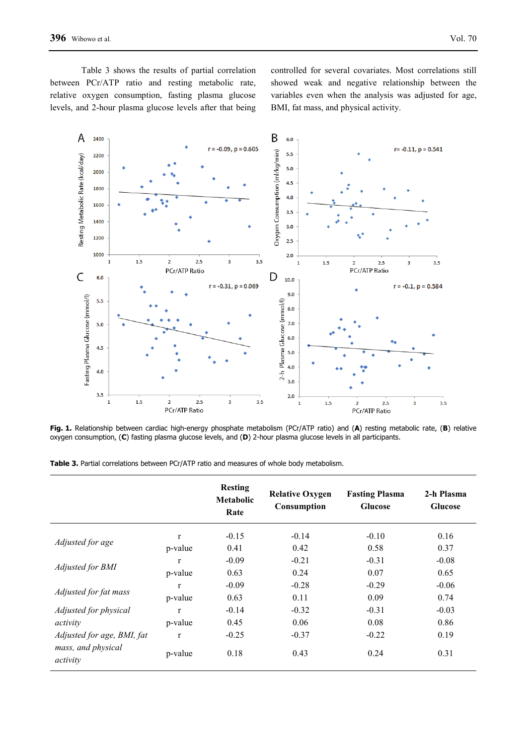Table 3 shows the results of partial correlation between PCr/ATP ratio and resting metabolic rate, relative oxygen consumption, fasting plasma glucose levels, and 2-hour plasma glucose levels after that being controlled for several covariates. Most correlations still showed weak and negative relationship between the variables even when the analysis was adjusted for age, BMI, fat mass, and physical activity.



**Fig. 1.** Relationship between cardiac high-energy phosphate metabolism (PCr/ATP ratio) and (**A**) resting metabolic rate, (**B**) relative oxygen consumption, (**C**) fasting plasma glucose levels, and (**D**) 2-hour plasma glucose levels in all participants.

|  |  |  |  |  |  |  |  |  |  |  | <b>Table 3.</b> Partial correlations between PCr/ATP ratio and measures of whole body metabolism. |
|--|--|--|--|--|--|--|--|--|--|--|---------------------------------------------------------------------------------------------------|
|--|--|--|--|--|--|--|--|--|--|--|---------------------------------------------------------------------------------------------------|

|                                |              | <b>Resting</b><br>Metabolic<br>Rate | <b>Relative Oxygen</b><br>Consumption | <b>Fasting Plasma</b><br><b>Glucose</b> | 2-h Plasma<br><b>Glucose</b> |
|--------------------------------|--------------|-------------------------------------|---------------------------------------|-----------------------------------------|------------------------------|
| Adjusted for age               | $\mathbf{r}$ | $-0.15$                             | $-0.14$                               | $-0.10$                                 | 0.16                         |
|                                | p-value      | 0.41                                | 0.42                                  | 0.58                                    | 0.37                         |
| Adjusted for BMI               | $\mathbf{r}$ | $-0.09$                             | $-0.21$                               | $-0.31$                                 | $-0.08$                      |
|                                | p-value      | 0.63                                | 0.24                                  | 0.07                                    | 0.65                         |
| Adjusted for fat mass          | $\mathbf{r}$ | $-0.09$                             | $-0.28$                               | $-0.29$                                 | $-0.06$                      |
|                                | p-value      | 0.63                                | 0.11                                  | 0.09                                    | 0.74                         |
| Adjusted for physical          | $\mathbf{r}$ | $-0.14$                             | $-0.32$                               | $-0.31$                                 | $-0.03$                      |
| activity                       | p-value      | 0.45                                | 0.06                                  | 0.08                                    | 0.86                         |
| Adjusted for age, BMI, fat     | $\mathbf r$  | $-0.25$                             | $-0.37$                               | $-0.22$                                 | 0.19                         |
| mass, and physical<br>activity | p-value      | 0.18                                | 0.43                                  | 0.24                                    | 0.31                         |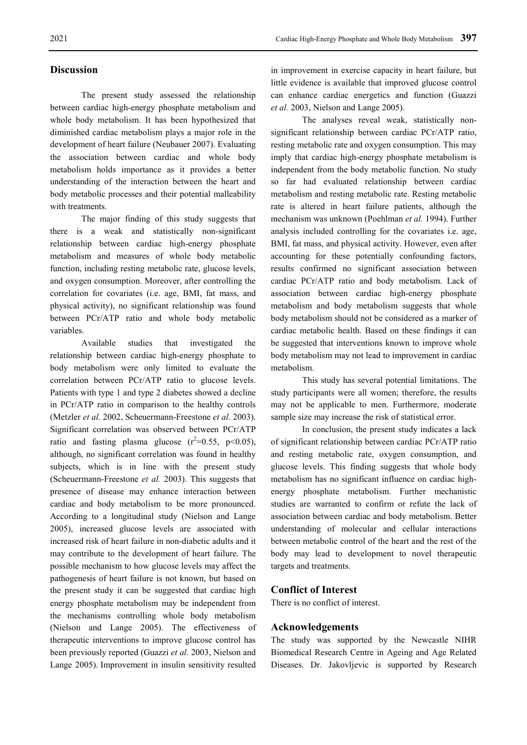## **Discussion**

The present study assessed the relationship between cardiac high-energy phosphate metabolism and whole body metabolism. It has been hypothesized that diminished cardiac metabolism plays a major role in the development of heart failure (Neubauer 2007). Evaluating the association between cardiac and whole body metabolism holds importance as it provides a better understanding of the interaction between the heart and body metabolic processes and their potential malleability with treatments.

The major finding of this study suggests that there is a weak and statistically non-significant relationship between cardiac high-energy phosphate metabolism and measures of whole body metabolic function, including resting metabolic rate, glucose levels, and oxygen consumption. Moreover, after controlling the correlation for covariates (i.e. age, BMI, fat mass, and physical activity), no significant relationship was found between PCr/ATP ratio and whole body metabolic variables.

Available studies that investigated the relationship between cardiac high-energy phosphate to body metabolism were only limited to evaluate the correlation between PCr/ATP ratio to glucose levels. Patients with type 1 and type 2 diabetes showed a decline in PCr/ATP ratio in comparison to the healthy controls (Metzler *et al.* 2002, Scheuermann-Freestone *et al.* 2003). Significant correlation was observed between PCr/ATP ratio and fasting plasma glucose  $(r^2=0.55, p<0.05)$ , although, no significant correlation was found in healthy subjects, which is in line with the present study (Scheuermann-Freestone *et al.* 2003). This suggests that presence of disease may enhance interaction between cardiac and body metabolism to be more pronounced. According to a longitudinal study (Nielson and Lange 2005), increased glucose levels are associated with increased risk of heart failure in non-diabetic adults and it may contribute to the development of heart failure. The possible mechanism to how glucose levels may affect the pathogenesis of heart failure is not known, but based on the present study it can be suggested that cardiac high energy phosphate metabolism may be independent from the mechanisms controlling whole body metabolism (Nielson and Lange 2005). The effectiveness of therapeutic interventions to improve glucose control has been previously reported (Guazzi *et al.* 2003, Nielson and Lange 2005). Improvement in insulin sensitivity resulted in improvement in exercise capacity in heart failure, but little evidence is available that improved glucose control can enhance cardiac energetics and function (Guazzi *et al.* 2003, Nielson and Lange 2005).

The analyses reveal weak, statistically nonsignificant relationship between cardiac PCr/ATP ratio, resting metabolic rate and oxygen consumption. This may imply that cardiac high-energy phosphate metabolism is independent from the body metabolic function. No study so far had evaluated relationship between cardiac metabolism and resting metabolic rate. Resting metabolic rate is altered in heart failure patients, although the mechanism was unknown (Poehlman *et al.* 1994). Further analysis included controlling for the covariates i.e. age, BMI, fat mass, and physical activity. However, even after accounting for these potentially confounding factors, results confirmed no significant association between cardiac PCr/ATP ratio and body metabolism. Lack of association between cardiac high-energy phosphate metabolism and body metabolism suggests that whole body metabolism should not be considered as a marker of cardiac metabolic health. Based on these findings it can be suggested that interventions known to improve whole body metabolism may not lead to improvement in cardiac metabolism.

This study has several potential limitations. The study participants were all women; therefore, the results may not be applicable to men. Furthermore, moderate sample size may increase the risk of statistical error.

In conclusion, the present study indicates a lack of significant relationship between cardiac PCr/ATP ratio and resting metabolic rate, oxygen consumption, and glucose levels. This finding suggests that whole body metabolism has no significant influence on cardiac highenergy phosphate metabolism. Further mechanistic studies are warranted to confirm or refute the lack of association between cardiac and body metabolism. Better understanding of molecular and cellular interactions between metabolic control of the heart and the rest of the body may lead to development to novel therapeutic targets and treatments.

## **Conflict of Interest**

There is no conflict of interest.

## **Acknowledgements**

The study was supported by the Newcastle NIHR Biomedical Research Centre in Ageing and Age Related Diseases. Dr. Jakovljevic is supported by Research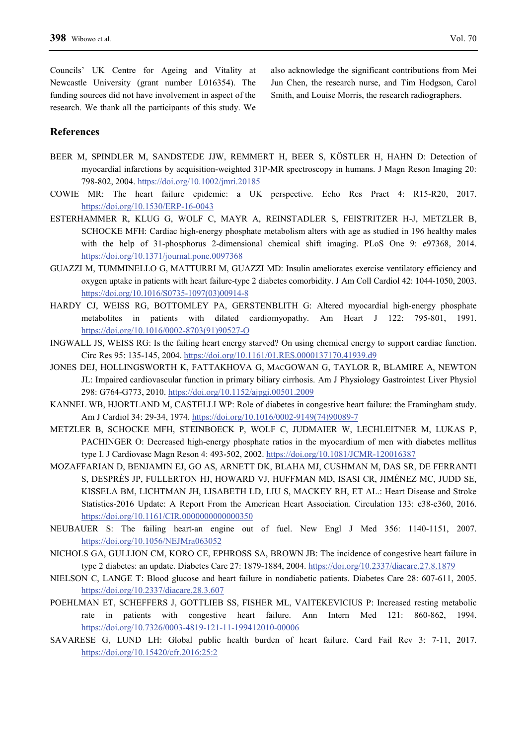Councils' UK Centre for Ageing and Vitality at Newcastle University (grant number L016354). The funding sources did not have involvement in aspect of the research. We thank all the participants of this study. We

also acknowledge the significant contributions from Mei Jun Chen, the research nurse, and Tim Hodgson, Carol Smith, and Louise Morris, the research radiographers.

# **References**

- BEER M, SPINDLER M, SANDSTEDE JJW, REMMERT H, BEER S, KÖSTLER H, HAHN D: Detection of myocardial infarctions by acquisition-weighted 31P-MR spectroscopy in humans. J Magn Reson Imaging 20: 798-802, 2004. https://doi.org/10.1002/jmri.20185
- COWIE MR: The heart failure epidemic: a UK perspective. Echo Res Pract 4: R15-R20, 2017. https://doi.org/10.1530/ERP-16-0043
- ESTERHAMMER R, KLUG G, WOLF C, MAYR A, REINSTADLER S, FEISTRITZER H-J, METZLER B, SCHOCKE MFH: Cardiac high-energy phosphate metabolism alters with age as studied in 196 healthy males with the help of 31-phosphorus 2-dimensional chemical shift imaging. PLoS One 9: e97368, 2014. https://doi.org/10.1371/journal.pone.0097368
- GUAZZI M, TUMMINELLO G, MATTURRI M, GUAZZI MD: Insulin ameliorates exercise ventilatory efficiency and oxygen uptake in patients with heart failure-type 2 diabetes comorbidity. J Am Coll Cardiol 42: 1044-1050, 2003. https://doi.org/10.1016/S0735-1097(03)00914-8
- HARDY CJ, WEISS RG, BOTTOMLEY PA, GERSTENBLITH G: Altered myocardial high-energy phosphate metabolites in patients with dilated cardiomyopathy. Am Heart J 122: 795-801, 1991. https://doi.org/10.1016/0002-8703(91)90527-O
- INGWALL JS, WEISS RG: Is the failing heart energy starved? On using chemical energy to support cardiac function. Circ Res 95: 135-145, 2004. https://doi.org/10.1161/01.RES.0000137170.41939.d9
- JONES DEJ, HOLLINGSWORTH K, FATTAKHOVA G, MACGOWAN G, TAYLOR R, BLAMIRE A, NEWTON JL: Impaired cardiovascular function in primary biliary cirrhosis. Am J Physiology Gastrointest Liver Physiol 298: G764-G773, 2010. https://doi.org/10.1152/ajpgi.00501.2009
- KANNEL WB, HJORTLAND M, CASTELLI WP: Role of diabetes in congestive heart failure: the Framingham study. Am J Cardiol 34: 29-34, 1974. https://doi.org/10.1016/0002-9149(74)90089-7
- METZLER B, SCHOCKE MFH, STEINBOECK P, WOLF C, JUDMAIER W, LECHLEITNER M, LUKAS P, PACHINGER O: Decreased high-energy phosphate ratios in the myocardium of men with diabetes mellitus type I. J Cardiovasc Magn Reson 4: 493-502, 2002. https://doi.org/10.1081/JCMR-120016387
- MOZAFFARIAN D, BENJAMIN EJ, GO AS, ARNETT DK, BLAHA MJ, CUSHMAN M, DAS SR, DE FERRANTI S, DESPRÉS JP, FULLERTON HJ, HOWARD VJ, HUFFMAN MD, ISASI CR, JIMÉNEZ MC, JUDD SE, KISSELA BM, LICHTMAN JH, LISABETH LD, LIU S, MACKEY RH, ET AL.: Heart Disease and Stroke Statistics-2016 Update: A Report From the American Heart Association. Circulation 133: e38-e360, 2016. https://doi.org/10.1161/CIR.0000000000000350
- NEUBAUER S: The failing heart-an engine out of fuel. New Engl J Med 356: 1140-1151, 2007. https://doi.org/10.1056/NEJMra063052
- NICHOLS GA, GULLION CM, KORO CE, EPHROSS SA, BROWN JB: The incidence of congestive heart failure in type 2 diabetes: an update. Diabetes Care 27: 1879-1884, 2004. https://doi.org/10.2337/diacare.27.8.1879
- NIELSON C, LANGE T: Blood glucose and heart failure in nondiabetic patients. Diabetes Care 28: 607-611, 2005. https://doi.org/10.2337/diacare.28.3.607
- POEHLMAN ET, SCHEFFERS J, GOTTLIEB SS, FISHER ML, VAITEKEVICIUS P: Increased resting metabolic rate in patients with congestive heart failure. Ann Intern Med 121: 860-862, 1994. https://doi.org/10.7326/0003-4819-121-11-199412010-00006
- SAVARESE G, LUND LH: Global public health burden of heart failure. Card Fail Rev 3: 7-11, 2017. https://doi.org/10.15420/cfr.2016:25:2